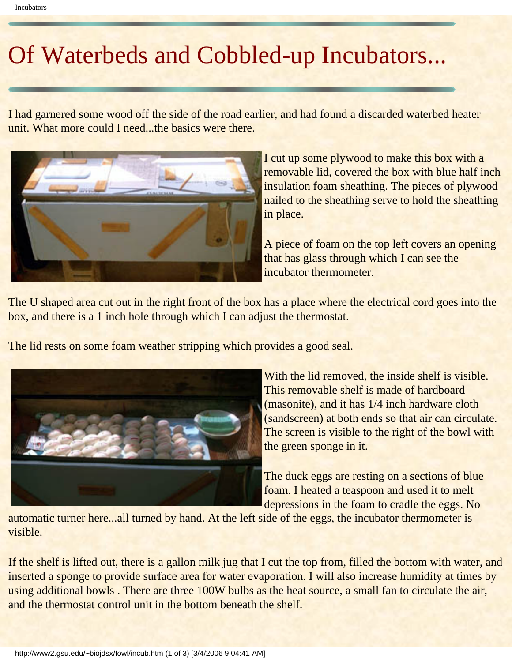## Of Waterbeds and Cobbled-up Incubators...

I had garnered some wood off the side of the road earlier, and had found a discarded waterbed heater unit. What more could I need...the basics were there.



I cut up some plywood to make this box with a removable lid, covered the box with blue half inch insulation foam sheathing. The pieces of plywood nailed to the sheathing serve to hold the sheathing in place.

A piece of foam on the top left covers an opening that has glass through which I can see the incubator thermometer.

The U shaped area cut out in the right front of the box has a place where the electrical cord goes into the box, and there is a 1 inch hole through which I can adjust the thermostat.

The lid rests on some foam weather stripping which provides a good seal.



With the lid removed, the inside shelf is visible. This removable shelf is made of hardboard (masonite), and it has 1/4 inch hardware cloth (sandscreen) at both ends so that air can circulate. The screen is visible to the right of the bowl with the green sponge in it.

The duck eggs are resting on a sections of blue foam. I heated a teaspoon and used it to melt depressions in the foam to cradle the eggs. No

automatic turner here...all turned by hand. At the left side of the eggs, the incubator thermometer is visible.

If the shelf is lifted out, there is a gallon milk jug that I cut the top from, filled the bottom with water, and inserted a sponge to provide surface area for water evaporation. I will also increase humidity at times by using additional bowls. There are three 100W bulbs as the heat source, a small fan to circulate the air, and the thermostat control unit in the bottom beneath the shelf.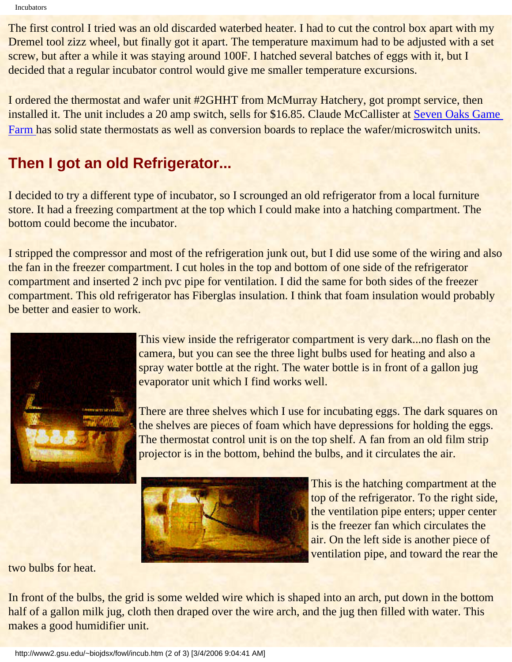Incubators

The first control I tried was an old discarded waterbed heater. I had to cut the control box apart with my Dremel tool zizz wheel, but finally got it apart. The temperature maximum had to be adjusted with a set screw, but after a while it was staying around 100F. I hatched several batches of eggs with it, but I decided that a regular incubator control would give me smaller temperature excursions.

I ordered the thermostat and wafer unit #2GHHT from McMurray Hatchery, got prompt service, then installed it. The unit includes a 20 amp switch, sells for \$16.85. Claude McCallister at [Seven Oaks Game](http://users.isaac.net/gamefarm) [Farm](http://users.isaac.net/gamefarm) has solid state thermostats as well as conversion boards to replace the wafer/microswitch units.

## **Then I got an old Refrigerator...**

I decided to try a different type of incubator, so I scrounged an old refrigerator from a local furniture store. It had a freezing compartment at the top which I could make into a hatching compartment. The bottom could become the incubator.

I stripped the compressor and most of the refrigeration junk out, but I did use some of the wiring and also the fan in the freezer compartment. I cut holes in the top and bottom of one side of the refrigerator compartment and inserted 2 inch pvc pipe for ventilation. I did the same for both sides of the freezer compartment. This old refrigerator has Fiberglas insulation. I think that foam insulation would probably be better and easier to work.



This view inside the refrigerator compartment is very dark...no flash on the camera, but you can see the three light bulbs used for heating and also a spray water bottle at the right. The water bottle is in front of a gallon jug evaporator unit which I find works well.

There are three shelves which I use for incubating eggs. The dark squares on the shelves are pieces of foam which have depressions for holding the eggs. The thermostat control unit is on the top shelf. A fan from an old film strip projector is in the bottom, behind the bulbs, and it circulates the air.



This is the hatching compartment at the top of the refrigerator. To the right side, the ventilation pipe enters; upper center is the freezer fan which circulates the air. On the left side is another piece of ventilation pipe, and toward the rear the

two bulbs for heat.

In front of the bulbs, the grid is some welded wire which is shaped into an arch, put down in the bottom half of a gallon milk jug, cloth then draped over the wire arch, and the jug then filled with water. This makes a good humidifier unit.